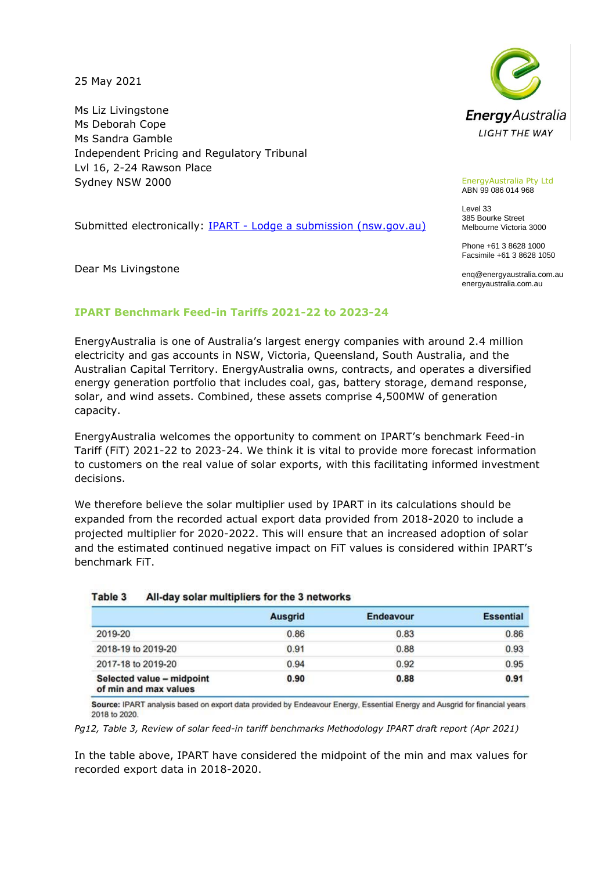25 May 2021

Ms Liz Livingstone Ms Deborah Cope Ms Sandra Gamble Independent Pricing and Regulatory Tribunal Lvl 16, 2-24 Rawson Place Sydney NSW 2000

Submitted electronically: IPART - [Lodge a submission \(nsw.gov.au\)](https://www.ipart.nsw.gov.au/Home/Reviews/Lodge-a-submission?vId=36267b14-102a-4b21-a62c-05a0cbd768c8&name=Draft%20report%20-%20Review%20of%20solar%20feed-in%20tariff%20benchmarks%20-%20April%202021)

Dear Ms Livingstone



EnergyAustralia Pty Ltd ABN 99 086 014 968

Level 33 385 Bourke Street Melbourne Victoria 3000

Phone +61 3 8628 1000 Facsimile +61 3 8628 1050

enq@energyaustralia.com.au energyaustralia.com.au

# **IPART Benchmark Feed-in Tariffs 2021-22 to 2023-24**

EnergyAustralia is one of Australia's largest energy companies with around 2.4 million electricity and gas accounts in NSW, Victoria, Queensland, South Australia, and the Australian Capital Territory. EnergyAustralia owns, contracts, and operates a diversified energy generation portfolio that includes coal, gas, battery storage, demand response, solar, and wind assets. Combined, these assets comprise 4,500MW of generation capacity.

EnergyAustralia welcomes the opportunity to comment on IPART's benchmark Feed-in Tariff (FiT) 2021-22 to 2023-24. We think it is vital to provide more forecast information to customers on the real value of solar exports, with this facilitating informed investment decisions.

We therefore believe the solar multiplier used by IPART in its calculations should be expanded from the recorded actual export data provided from 2018-2020 to include a projected multiplier for 2020-2022. This will ensure that an increased adoption of solar and the estimated continued negative impact on FiT values is considered within IPART's benchmark FiT.

|                                                    | <b>Ausgrid</b> | Endeavour | <b>Essential</b> |
|----------------------------------------------------|----------------|-----------|------------------|
| 2019-20                                            | 0.86           | 0.83      | 0.86             |
| 2018-19 to 2019-20                                 | 0.91           | 0.88      | 0.93             |
| 2017-18 to 2019-20                                 | 0.94           | 0.92      | 0.95             |
| Selected value - midpoint<br>of min and max values | 0.90           | 0.88      | 0.91             |

### Table 3 All-day solar multipliers for the 3 networks

Source: IPART analysis based on export data provided by Endeavour Energy, Essential Energy and Ausgrid for financial years 2018 to 2020.

*Pg12, Table 3, Review of solar feed-in tariff benchmarks Methodology IPART draft report (Apr 2021)*

In the table above, IPART have considered the midpoint of the min and max values for recorded export data in 2018-2020.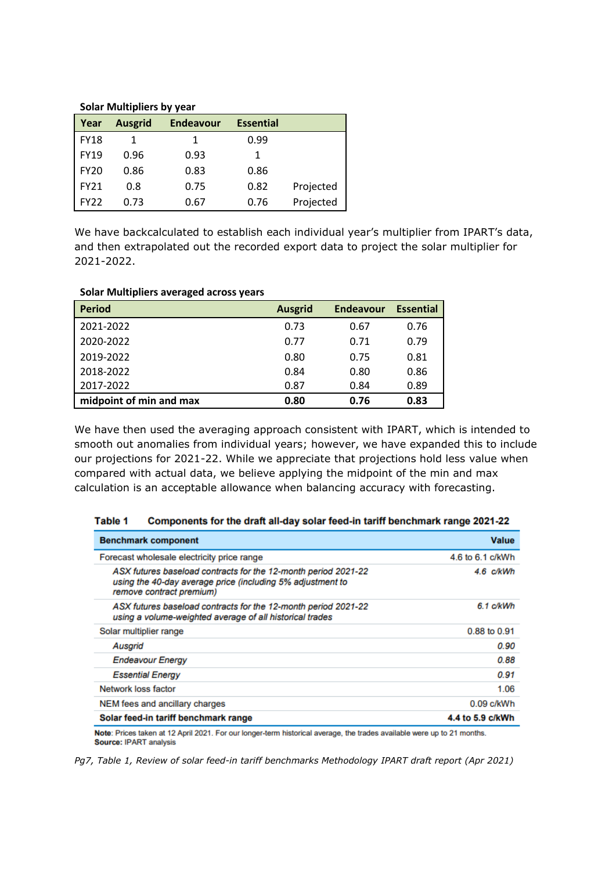### **Solar Multipliers by year**

| Year            | <b>Ausgrid</b> | <b>Endeavour</b> | <b>Essential</b> |           |
|-----------------|----------------|------------------|------------------|-----------|
| <b>FY18</b>     |                | 1                | 0.99             |           |
| <b>FY19</b>     | 0.96           | 0.93             | 1                |           |
| <b>FY20</b>     | 0.86           | 0.83             | 0.86             |           |
| <b>FY21</b>     | 0.8            | 0.75             | 0.82             | Projected |
| FY <sub>2</sub> | 0.73           | 0.67             | 0.76             | Projected |

We have backcalculated to establish each individual year's multiplier from IPART's data, and then extrapolated out the recorded export data to project the solar multiplier for 2021-2022.

| - - - - - - - - - - <i>,</i> - - - |                |                  |                  |
|------------------------------------|----------------|------------------|------------------|
| <b>Period</b>                      | <b>Ausgrid</b> | <b>Endeavour</b> | <b>Essential</b> |
| 2021-2022                          | 0.73           | 0.67             | 0.76             |
| 2020-2022                          | 0.77           | 0.71             | 0.79             |
| 2019-2022                          | 0.80           | 0.75             | 0.81             |
| 2018-2022                          | 0.84           | 0.80             | 0.86             |
| 2017-2022                          | 0.87           | 0.84             | 0.89             |
| midpoint of min and max            | 0.80           | 0.76             | 0.83             |

# **Solar Multipliers averaged across years**

We have then used the averaging approach consistent with IPART, which is intended to smooth out anomalies from individual years; however, we have expanded this to include our projections for 2021-22. While we appreciate that projections hold less value when compared with actual data, we believe applying the midpoint of the min and max calculation is an acceptable allowance when balancing accuracy with forecasting.

| <b>Benchmark component</b>                                                                                                                               | <b>Value</b>     |
|----------------------------------------------------------------------------------------------------------------------------------------------------------|------------------|
| Forecast wholesale electricity price range                                                                                                               | 4.6 to 6.1 c/kWh |
| ASX futures baseload contracts for the 12-month period 2021-22<br>using the 40-day average price (including 5% adjustment to<br>remove contract premium) | 4.6 c/kWh        |
| ASX futures baseload contracts for the 12-month period 2021-22<br>using a volume-weighted average of all historical trades                               | $6.1$ c/kWh      |
| Solar multiplier range                                                                                                                                   | 0.88 to 0.91     |
| Ausgrid                                                                                                                                                  | 0.90             |
| <b>Endeavour Energy</b>                                                                                                                                  | 0.88             |
| <b>Essential Energy</b>                                                                                                                                  | 0.91             |
| Network loss factor                                                                                                                                      | 1.06             |
| NEM fees and ancillary charges                                                                                                                           | $0.09$ c/kWh     |
| Solar feed-in tariff benchmark range                                                                                                                     | 4.4 to 5.9 c/kWh |
| <b><i><u>Property</u></i></b>                                                                                                                            |                  |

### Table 1 Components for the draft all-day solar feed-in tariff benchmark range 2021-22

Note: Prices taken at 12 April 2021. For our longer-term historical average, the trades available were up to 21 months. Source: IPART analysis

*Pg7, Table 1, Review of solar feed-in tariff benchmarks Methodology IPART draft report (Apr 2021)*